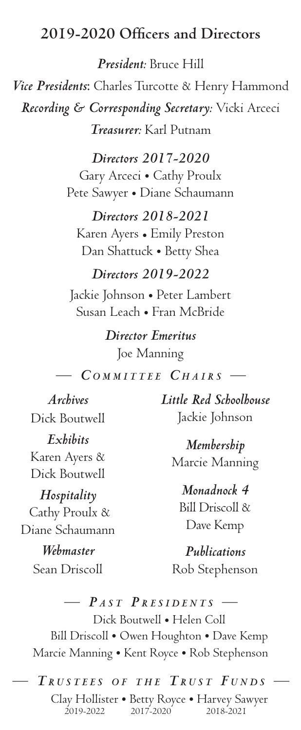## **2019-2020 Officers and Directors**

*President:* Bruce Hill *Vice Presidents*: Charles Turcotte & Henry Hammond *Recording & Corresponding Secretary:* Vicki Arceci *Treasurer:* Karl Putnam

> *Directors 2017-2020* Gary Arceci • Cathy Proulx Pete Sawyer • Diane Schaumann

*Directors 2018-2021* Karen Ayers • Emily Preston Dan Shattuck • Betty Shea

## *Directors 2019-2022*

Jackie Johnson • Peter Lambert Susan Leach • Fran McBride

> *Director Emeritus* Joe Manning

 $COMMITTEE$  *CHAIRS* —

*Archives* Dick Boutwell *Exhibits* Karen Ayers & Dick Boutwell

*Hospitality* Cathy Proulx & Diane Schaumann

> *Webmaster* Sean Driscoll

*Little Red Schoolhouse* Jackie Johnson

*Membership* Marcie Manning

*Monadnock 4*

Bill Driscoll & Dave Kemp

*Publications* Rob Stephenson

 $P_{AST}$  *PRESIDENTS* – Dick Boutwell • Helen Coll Bill Driscoll • Owen Houghton • Dave Kemp Marcie Manning • Kent Royce • Rob Stephenson

 $T_{RUSTEES}$  *of the*  $T_{RUST}$  *Funds* Clay Hollister • Betty Royce • Harvey Sawyer 2019-2022 2017-2020 2018-2021